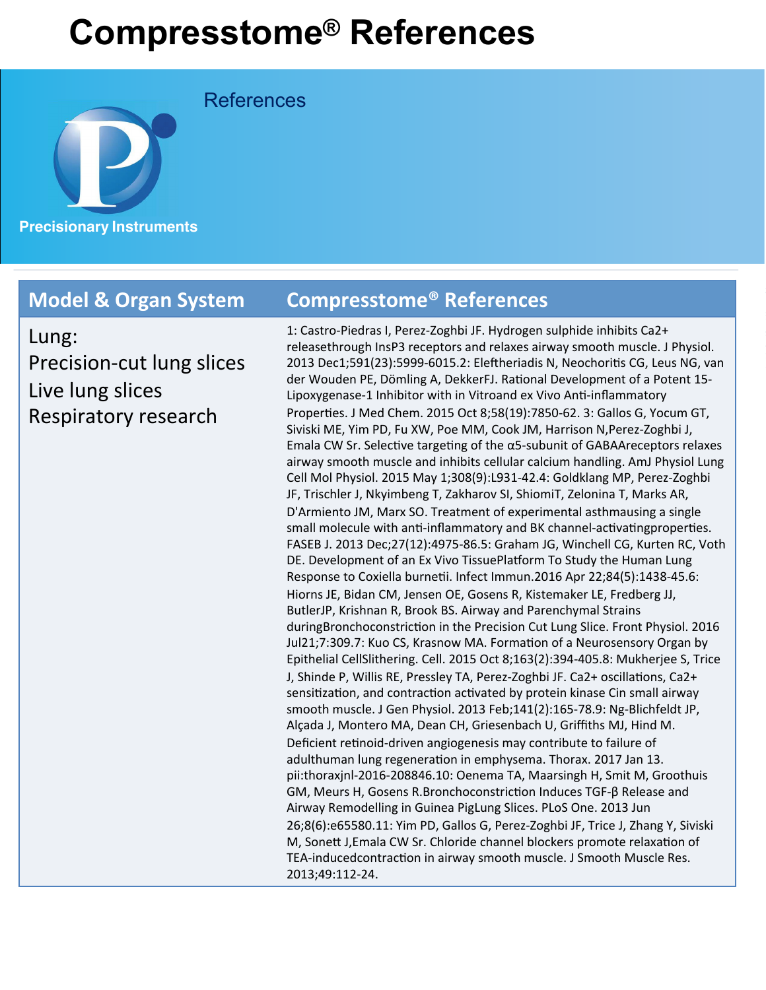References



Lung: Precision-cut lung slices Live lung slices Respiratory research

### **Model & Organ System Compresstome® References**

1: Castro-Piedras I, Perez-Zoghbi JF. Hydrogen sulphide inhibits Ca2+ releasethrough InsP3 receptors and relaxes airway smooth muscle. J Physiol. 2013 Dec1;591(23):5999-6015.2: Eleftheriadis N, Neochoritis CG, Leus NG, van der Wouden PE, Dömling A, DekkerFJ. Rational Development of a Potent 15-Lipoxygenase-1 Inhibitor with in Vitroand ex Vivo Anti-inflammatory Properties. J Med Chem. 2015 Oct 8;58(19):7850-62. 3: Gallos G, Yocum GT, Siviski ME, Yim PD, Fu XW, Poe MM, Cook JM, Harrison N, Perez-Zoghbi J, Emala CW Sr. Selective targeting of the  $\alpha$ 5-subunit of GABAAreceptors relaxes airway smooth muscle and inhibits cellular calcium handling. AmJ Physiol Lung Cell Mol Physiol. 2015 May 1;308(9):L931-42.4: Goldklang MP, Perez-Zoghbi JF, Trischler J, Nkyimbeng T, Zakharov SI, ShiomiT, Zelonina T, Marks AR, D'Armiento JM, Marx SO. Treatment of experimental asthmausing a single small molecule with anti-inflammatory and BK channel-activatingproperties. FASEB J. 2013 Dec;27(12):4975-86.5: Graham JG, Winchell CG, Kurten RC, Voth DE. Development of an Ex Vivo TissuePlatform To Study the Human Lung Response to Coxiella burnetii. Infect Immun.2016 Apr 22;84(5):1438-45.6: Hiorns JE, Bidan CM, Jensen OE, Gosens R, Kistemaker LE, Fredberg JJ, ButlerJP, Krishnan R, Brook BS. Airway and Parenchymal Strains duringBronchoconstriction in the Precision Cut Lung Slice. Front Physiol. 2016 Jul21;7:309.7: Kuo CS, Krasnow MA. Formation of a Neurosensory Organ by Epithelial CellSlithering. Cell. 2015 Oct 8;163(2):394-405.8: Mukherjee S, Trice J, Shinde P, Willis RE, Pressley TA, Perez-Zoghbi JF. Ca2+ oscillations, Ca2+ sensitization, and contraction activated by protein kinase Cin small airway smooth muscle. J Gen Physiol. 2013 Feb;141(2):165-78.9: Ng-Blichfeldt JP, Alçada J, Montero MA, Dean CH, Griesenbach U, Griffiths MJ, Hind M. Deficient retinoid-driven angiogenesis may contribute to failure of adulthuman lung regeneration in emphysema. Thorax. 2017 Jan 13. pii:thoraxjnl-2016-208846.10: Oenema TA, Maarsingh H, Smit M, Groothuis GM, Meurs H, Gosens R.Bronchoconstriction Induces TGF-β Release and Airway Remodelling in Guinea PigLung Slices. PLoS One. 2013 Jun 26;8(6):e65580.11: Yim PD, Gallos G, Perez-Zoghbi JF, Trice J, Zhang Y, Siviski M, Sonett J,Emala CW Sr. Chloride channel blockers promote relaxation of TEA-inducedcontraction in airway smooth muscle. J Smooth Muscle Res. 2013;49:112-24.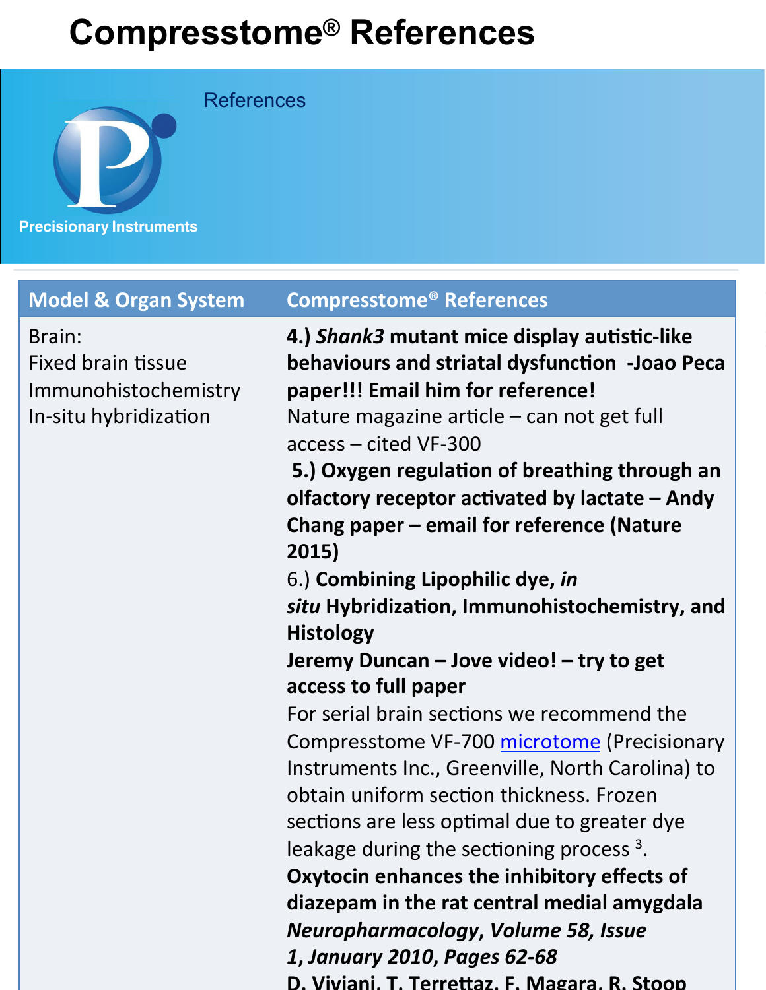References



Brain: Fixed brain tissue Immunohistochemistry In-situ hybridization

### **Model & Organ System Compresstome® References**

**4.) Shank3 mutant mice display autistic-like behaviours and striatal dysfunction -Joao Peca** paper!!! Email him for reference! Nature magazine article  $-$  can not get full access – cited VF-300 

**5.) Oxygen regulation of breathing through an** olfactory receptor activated by lactate – Andy **Chang paper – email for reference (Nature 2015)**

6.) **Combining Lipophilic dye,** *in*  situ Hybridization, Immunohistochemistry, and **Histology**

## **Jeremy Duncan – Jove video! – try to get access to full paper**

For serial brain sections we recommend the Compresstome VF-700 microtome (Precisionary Instruments Inc., Greenville, North Carolina) to obtain uniform section thickness. Frozen sections are less optimal due to greater dye leakage during the sectioning process  $3$ .

**Oxytocin enhances the inhibitory effects of** diazepam in the rat central medial amygdala *Neuropharmacology***,** *Volume 58, Issue 1***,** *January 2010***,** *Pages 62-68*

D. Viviani, T. Terrettaz, F. Magara, R. Stoop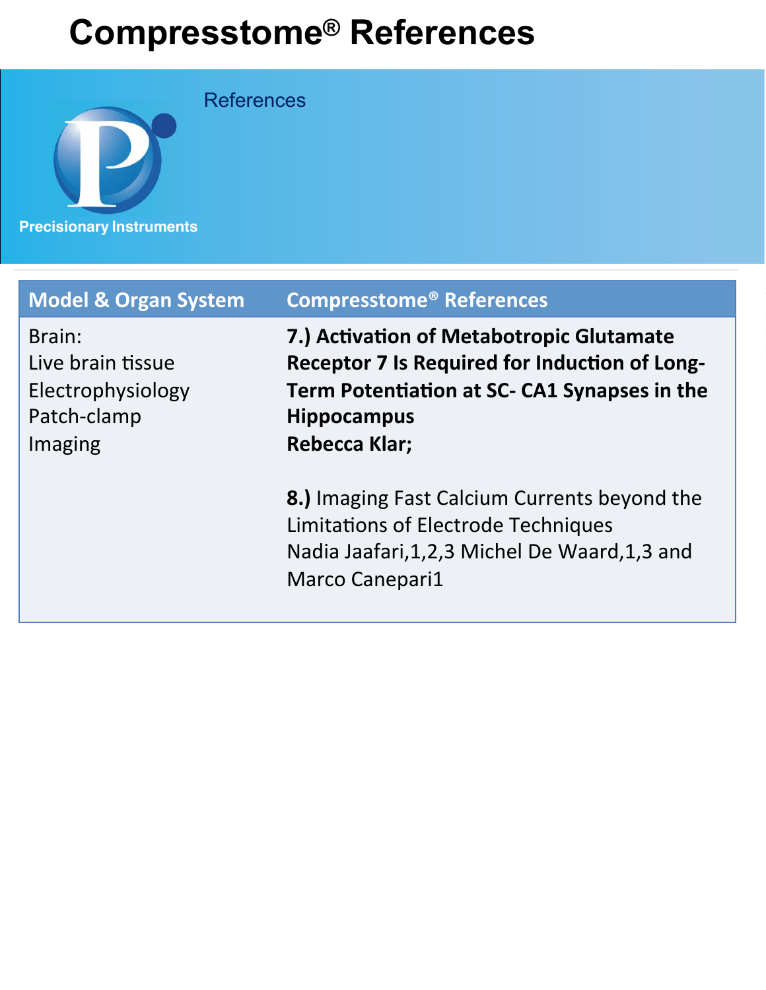**References** 



| <b>Model &amp; Organ System</b>                                            | <b>Compresstome<sup>®</sup> References</b>                                                                                                                                                     |
|----------------------------------------------------------------------------|------------------------------------------------------------------------------------------------------------------------------------------------------------------------------------------------|
| Brain:<br>Live brain tissue<br>Electrophysiology<br>Patch-clamp<br>Imaging | 7.) Activation of Metabotropic Glutamate<br><b>Receptor 7 Is Required for Induction of Long-</b><br>Term Potentiation at SC- CA1 Synapses in the<br><b>Hippocampus</b><br><b>Rebecca Klar;</b> |
|                                                                            | 8.) Imaging Fast Calcium Currents beyond the<br>Limitations of Electrode Techniques<br>Nadia Jaafari, 1, 2, 3 Michel De Waard, 1, 3 and<br><b>Marco Canepari1</b>                              |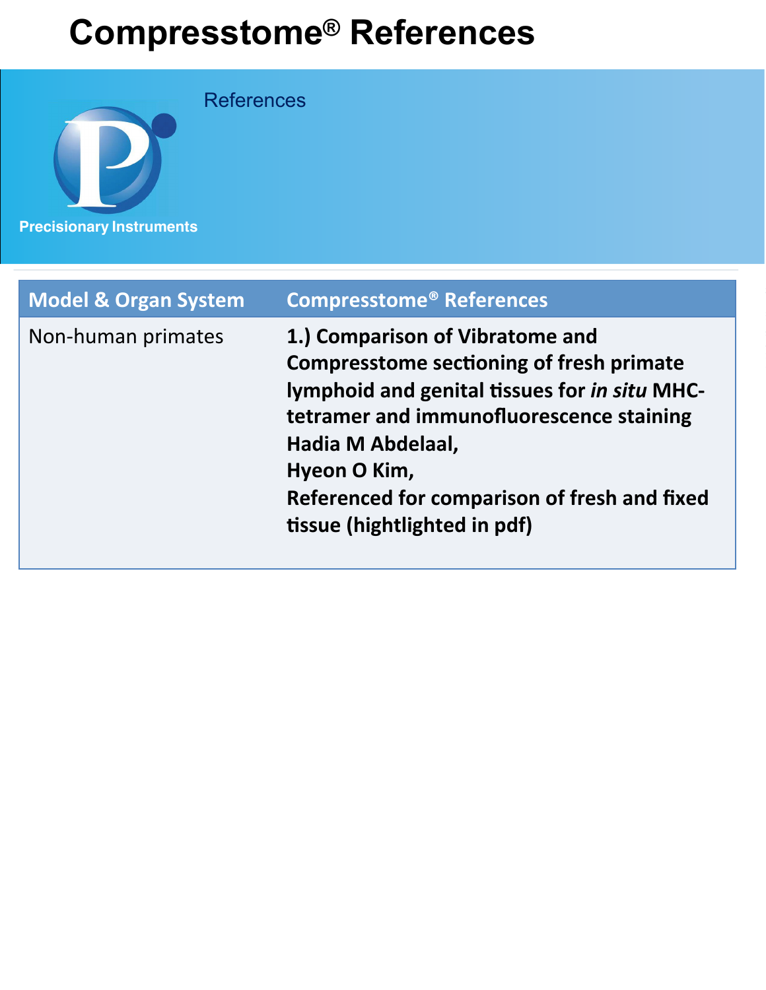**Precisionary Instruments References** 

| <b>Model &amp; Organ System</b> | <b>Compresstome<sup>®</sup> References</b>                                                                                                                                                                                                                                                           |
|---------------------------------|------------------------------------------------------------------------------------------------------------------------------------------------------------------------------------------------------------------------------------------------------------------------------------------------------|
| Non-human primates              | 1.) Comparison of Vibratome and<br><b>Compresstome sectioning of fresh primate</b><br>lymphoid and genital tissues for in situ MHC-<br>tetramer and immunofluorescence staining<br>Hadia M Abdelaal,<br>Hyeon O Kim,<br>Referenced for comparison of fresh and fixed<br>tissue (hightlighted in pdf) |